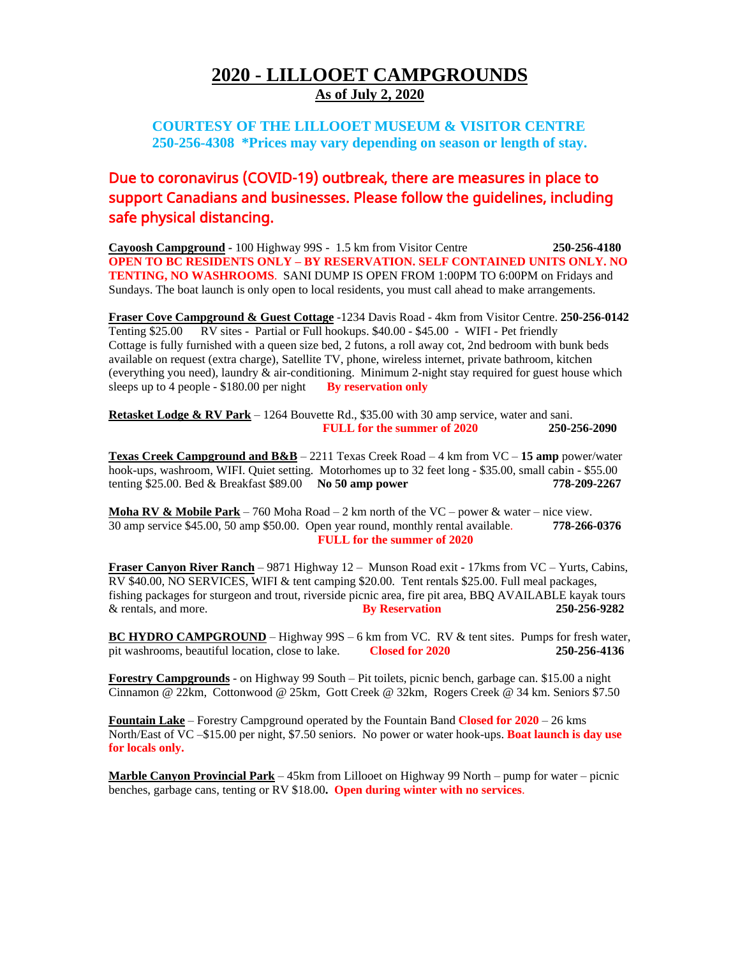#### **2020 - LILLOOET CAMPGROUNDS As of July 2, 2020**

#### **COURTESY OF THE LILLOOET MUSEUM & VISITOR CENTRE 250-256-4308 \*Prices may vary depending on season or length of stay.**

## Due to coronavirus (COVID-19) outbreak, there are measures in place to support Canadians and businesses. Please follow the guidelines, including safe physical distancing.

**Cayoosh Campground -** 100 Highway 99S - 1.5 km from Visitor Centre **250-256-4180 OPEN TO BC RESIDENTS ONLY – BY RESERVATION. SELF CONTAINED UNITS ONLY. NO TENTING, NO WASHROOMS**. SANI DUMP IS OPEN FROM 1:00PM TO 6:00PM on Fridays and Sundays. The boat launch is only open to local residents, you must call ahead to make arrangements.

**Fraser Cove Campground & Guest Cottage** -1234 Davis Road - 4km from Visitor Centre. **250-256-0142** Tenting \$25.00 RV sites - Partial or Full hookups. \$40.00 - \$45.00 - WIFI - Pet friendly Cottage is fully furnished with a queen size bed, 2 futons, a roll away cot, 2nd bedroom with bunk beds available on request (extra charge), Satellite TV, phone, wireless internet, private bathroom, kitchen (everything you need), laundry & air-conditioning. Minimum 2-night stay required for guest house which sleeps up to 4 people - \$180.00 per night **By reservation only**

**Retasket Lodge & RV Park** – 1264 Bouvette Rd., \$35.00 with 30 amp service, water and sani. **FULL for the summer of 2020 250-256-2090**

**Texas Creek Campground and B&B** – 2211 Texas Creek Road – 4 km from VC – **15 amp** power/water hook-ups, washroom, WIFI. Quiet setting. Motorhomes up to 32 feet long - \$35.00, small cabin - \$55.00 tenting \$25.00. Bed & Breakfast \$89.00 **No 50 amp power 778-209-2267**

**Moha RV & Mobile Park** – 760 Moha Road – 2 km north of the VC – power & water – nice view. 30 amp service \$45.00, 50 amp \$50.00. Open year round, monthly rental available. **778-266-0376 FULL for the summer of 2020** 

**Fraser Canyon River Ranch** – 9871 Highway 12 – Munson Road exit - 17kms from VC – Yurts, Cabins, RV \$40.00, NO SERVICES, WIFI & tent camping \$20.00. Tent rentals \$25.00. Full meal packages, fishing packages for sturgeon and trout, riverside picnic area, fire pit area, BBQ AVAILABLE kayak tours & rentals, and more. **By Reservation 250-256-9282**

**BC HYDRO CAMPGROUND** – Highway 99S – 6 km from VC. RV & tent sites. Pumps for fresh water, pit washrooms, beautiful location, close to lake. **Closed for 2020 250-256-4136**

**Forestry Campgrounds** - on Highway 99 South – Pit toilets, picnic bench, garbage can. \$15.00 a night Cinnamon @ 22km, Cottonwood @ 25km, Gott Creek @ 32km, Rogers Creek @ 34 km. Seniors \$7.50

**Fountain Lake** – Forestry Campground operated by the Fountain Band **Closed for 2020** – 26 kms North/East of VC –\$15.00 per night, \$7.50 seniors. No power or water hook-ups. **Boat launch is day use for locals only.**

**Marble Canyon Provincial Park** – 45km from Lillooet on Highway 99 North – pump for water – picnic benches, garbage cans, tenting or RV \$18.00**. Open during winter with no services**.